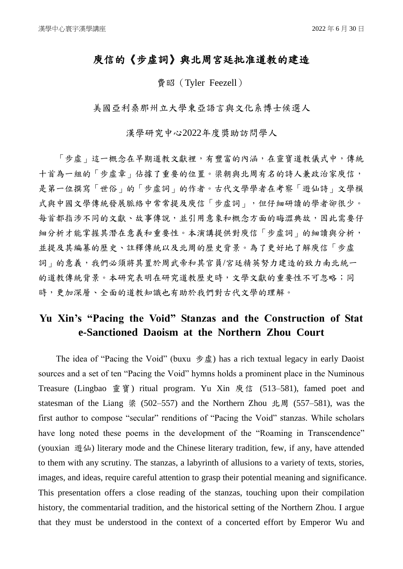## 庾信的《步虛詞》與北周宮廷批准道教的建造

費昭(Tyler Feezell)

美國亞利桑那州立大學東亞語言與文化系博士候選人

漢學研究中心2022年度獎助訪問學人

「步虛」這一概念在早期道教文獻裡,有豐富的內涵,在靈寶道教儀式中,傳統 十首為一組的「步虛章」佔據了重要的位置。梁朝與北周有名的詩人兼政治家庾信, 是第一位撰寫「世俗」的「步虛詞」的作者。古代文學學者在考察「遊仙詩」文學模 式與中國文學傳統發展脈絡中常常提及庾信「步虛詞」,但仔細研讀的學者卻很少。 每首都指涉不同的文獻、故事傳說,並引用意象和概念方面的晦澀典故,因此需要仔 細分析才能掌握其潛在意義和重要性。本演講提供對庾信「步虛詞」的細讀與分析, 並提及其編纂的歷史、註釋傳統以及北周的歷史背景。為了更好地了解庾信「步虛 詞」的意義,我們必須將其置於周武帝和其官員/宮廷精英努力建造的致力南北統一 的道教傳統背景。本研究表明在研究道教歷史時,文學文獻的重要性不可忽略;同 時,更加深層、全面的道教知識也有助於我們對古代文學的理解。

## **Yu Xin's "Pacing the Void" Stanzas and the Construction of Stat e-Sanctioned Daoism at the Northern Zhou Court**

The idea of "Pacing the Void" (buxu  $# \nsubseteq \mathbb{R}$ ) has a rich textual legacy in early Daoist sources and a set of ten "Pacing the Void" hymns holds a prominent place in the Numinous Treasure (Lingbao 靈寶) ritual program. Yu Xin 庾信 (513–581), famed poet and statesman of the Liang 梁 (502–557) and the Northern Zhou 北周 (557–581), was the first author to compose "secular" renditions of "Pacing the Void" stanzas. While scholars have long noted these poems in the development of the "Roaming in Transcendence" (youxian 遊仙) literary mode and the Chinese literary tradition, few, if any, have attended to them with any scrutiny. The stanzas, a labyrinth of allusions to a variety of texts, stories, images, and ideas, require careful attention to grasp their potential meaning and significance. This presentation offers a close reading of the stanzas, touching upon their compilation history, the commentarial tradition, and the historical setting of the Northern Zhou. I argue that they must be understood in the context of a concerted effort by Emperor Wu and